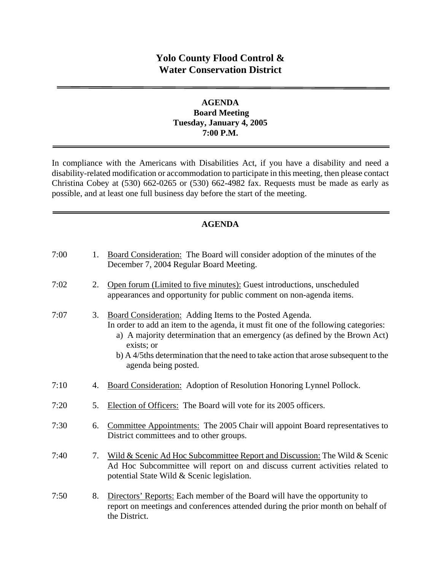# **Yolo County Flood Control & Water Conservation District**

# **AGENDA Board Meeting Tuesday, January 4, 2005 7:00 P.M.**

In compliance with the Americans with Disabilities Act, if you have a disability and need a disability-related modification or accommodation to participate in this meeting, then please contact Christina Cobey at (530) 662-0265 or (530) 662-4982 fax. Requests must be made as early as possible, and at least one full business day before the start of the meeting.

# **AGENDA**

| 7:00 | 1. | Board Consideration: The Board will consider adoption of the minutes of the<br>December 7, 2004 Regular Board Meeting.                                                                                                                                                                                                                                     |
|------|----|------------------------------------------------------------------------------------------------------------------------------------------------------------------------------------------------------------------------------------------------------------------------------------------------------------------------------------------------------------|
| 7:02 | 2. | Open forum (Limited to five minutes): Guest introductions, unscheduled<br>appearances and opportunity for public comment on non-agenda items.                                                                                                                                                                                                              |
| 7:07 | 3. | Board Consideration: Adding Items to the Posted Agenda.<br>In order to add an item to the agenda, it must fit one of the following categories:<br>a) A majority determination that an emergency (as defined by the Brown Act)<br>exists; or<br>b) A 4/5ths determination that the need to take action that arose subsequent to the<br>agenda being posted. |
| 7:10 | 4. | Board Consideration: Adoption of Resolution Honoring Lynnel Pollock.                                                                                                                                                                                                                                                                                       |
| 7:20 | 5. | Election of Officers: The Board will vote for its 2005 officers.                                                                                                                                                                                                                                                                                           |
| 7:30 | 6. | Committee Appointments: The 2005 Chair will appoint Board representatives to<br>District committees and to other groups.                                                                                                                                                                                                                                   |
| 7:40 | 7. | Wild & Scenic Ad Hoc Subcommittee Report and Discussion: The Wild & Scenic<br>Ad Hoc Subcommittee will report on and discuss current activities related to<br>potential State Wild & Scenic legislation.                                                                                                                                                   |
| 7:50 | 8. | Directors' Reports: Each member of the Board will have the opportunity to<br>report on meetings and conferences attended during the prior month on behalf of<br>the District.                                                                                                                                                                              |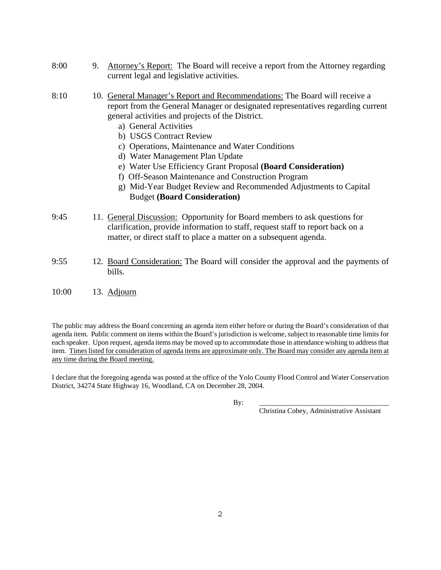- 8:00 9. Attorney's Report: The Board will receive a report from the Attorney regarding current legal and legislative activities.
- 8:10 10. General Manager's Report and Recommendations: The Board will receive a report from the General Manager or designated representatives regarding current general activities and projects of the District.
	- a) General Activities
	- b) USGS Contract Review
	- c) Operations, Maintenance and Water Conditions
	- d) Water Management Plan Update
	- e) Water Use Efficiency Grant Proposal **(Board Consideration)**
	- f) Off-Season Maintenance and Construction Program
	- g) Mid-Year Budget Review and Recommended Adjustments to Capital Budget **(Board Consideration)**
- 9:45 11. General Discussion: Opportunity for Board members to ask questions for clarification, provide information to staff, request staff to report back on a matter, or direct staff to place a matter on a subsequent agenda.
- 9:55 12. Board Consideration: The Board will consider the approval and the payments of bills.

### 10:00 13. Adjourn

The public may address the Board concerning an agenda item either before or during the Board's consideration of that agenda item. Public comment on items within the Board's jurisdiction is welcome, subject to reasonable time limits for each speaker. Upon request, agenda items may be moved up to accommodate those in attendance wishing to address that item. Times listed for consideration of agenda items are approximate only. The Board may consider any agenda item at any time during the Board meeting.

I declare that the foregoing agenda was posted at the office of the Yolo County Flood Control and Water Conservation District, 34274 State Highway 16, Woodland, CA on December 28, 2004.

By: \_\_\_\_\_\_\_\_\_\_\_\_\_\_\_\_\_\_\_\_\_\_\_\_\_\_\_\_\_\_\_\_\_\_\_\_\_

Christina Cobey, Administrative Assistant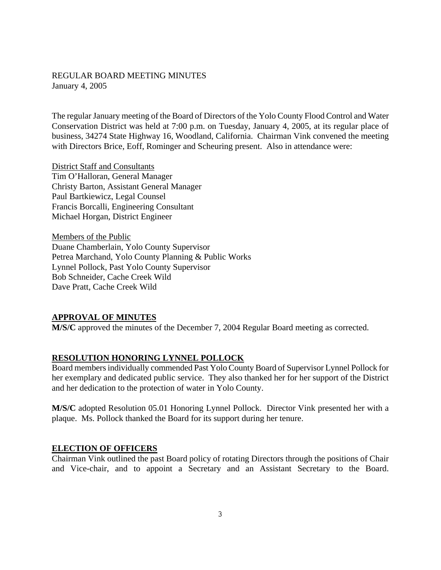### REGULAR BOARD MEETING MINUTES January 4, 2005

The regular January meeting of the Board of Directors of the Yolo County Flood Control and Water Conservation District was held at 7:00 p.m. on Tuesday, January 4, 2005, at its regular place of business, 34274 State Highway 16, Woodland, California. Chairman Vink convened the meeting with Directors Brice, Eoff, Rominger and Scheuring present. Also in attendance were:

District Staff and Consultants Tim O'Halloran, General Manager Christy Barton, Assistant General Manager Paul Bartkiewicz, Legal Counsel Francis Borcalli, Engineering Consultant Michael Horgan, District Engineer

Members of the Public Duane Chamberlain, Yolo County Supervisor Petrea Marchand, Yolo County Planning & Public Works Lynnel Pollock, Past Yolo County Supervisor Bob Schneider, Cache Creek Wild Dave Pratt, Cache Creek Wild

### **APPROVAL OF MINUTES**

**M/S/C** approved the minutes of the December 7, 2004 Regular Board meeting as corrected.

### **RESOLUTION HONORING LYNNEL POLLOCK**

Board members individually commended Past Yolo County Board of Supervisor Lynnel Pollock for her exemplary and dedicated public service. They also thanked her for her support of the District and her dedication to the protection of water in Yolo County.

**M/S/C** adopted Resolution 05.01 Honoring Lynnel Pollock. Director Vink presented her with a plaque. Ms. Pollock thanked the Board for its support during her tenure.

### **ELECTION OF OFFICERS**

Chairman Vink outlined the past Board policy of rotating Directors through the positions of Chair and Vice-chair, and to appoint a Secretary and an Assistant Secretary to the Board.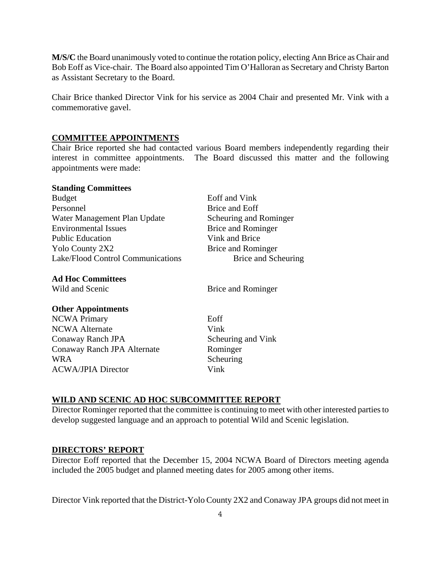**M/S/C** the Board unanimously voted to continue the rotation policy, electing Ann Brice as Chair and Bob Eoff as Vice-chair. The Board also appointed Tim O'Halloran as Secretary and Christy Barton as Assistant Secretary to the Board.

Chair Brice thanked Director Vink for his service as 2004 Chair and presented Mr. Vink with a commemorative gavel.

### **COMMITTEE APPOINTMENTS**

Chair Brice reported she had contacted various Board members independently regarding their interest in committee appointments. The Board discussed this matter and the following appointments were made:

#### **Standing Committees**

| <b>Budget</b>                     | Eoff and Vink          |
|-----------------------------------|------------------------|
| Personnel                         | Brice and Eoff         |
| Water Management Plan Update      | Scheuring and Rominger |
| <b>Environmental Issues</b>       | Brice and Rominger     |
| <b>Public Education</b>           | Vink and Brice         |
| Yolo County 2X2                   | Brice and Rominger     |
| Lake/Flood Control Communications | Brice and Scheuring    |
|                                   |                        |

### **Ad Hoc Committees**

Wild and Scenic Brice and Rominger

### **Other Appointments**

NCWA Primary Eoff NCWA Alternate Vink Conaway Ranch JPA Scheuring and Vink Conaway Ranch JPA Alternate Rominger WRA Scheuring ACWA/JPIA Director Vink

### **WILD AND SCENIC AD HOC SUBCOMMITTEE REPORT**

Director Rominger reported that the committee is continuing to meet with other interested parties to develop suggested language and an approach to potential Wild and Scenic legislation.

### **DIRECTORS' REPORT**

Director Eoff reported that the December 15, 2004 NCWA Board of Directors meeting agenda included the 2005 budget and planned meeting dates for 2005 among other items.

Director Vink reported that the District-Yolo County 2X2 and Conaway JPA groups did not meet in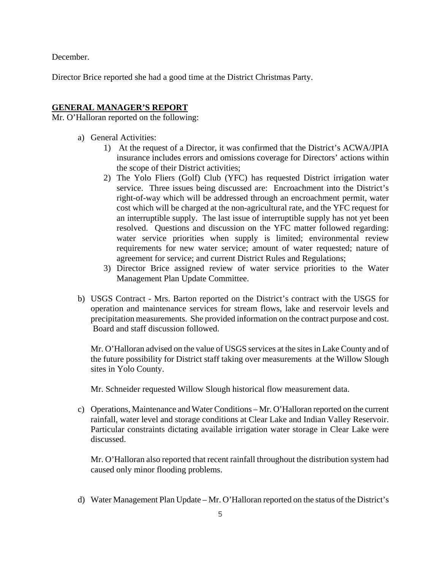December.

Director Brice reported she had a good time at the District Christmas Party.

### **GENERAL MANAGER'S REPORT**

Mr. O'Halloran reported on the following:

- a) General Activities:
	- 1) At the request of a Director, it was confirmed that the District's ACWA/JPIA insurance includes errors and omissions coverage for Directors' actions within the scope of their District activities;
	- 2) The Yolo Fliers (Golf) Club (YFC) has requested District irrigation water service. Three issues being discussed are: Encroachment into the District's right-of-way which will be addressed through an encroachment permit, water cost which will be charged at the non-agricultural rate, and the YFC request for an interruptible supply. The last issue of interruptible supply has not yet been resolved. Questions and discussion on the YFC matter followed regarding: water service priorities when supply is limited; environmental review requirements for new water service; amount of water requested; nature of agreement for service; and current District Rules and Regulations;
	- 3) Director Brice assigned review of water service priorities to the Water Management Plan Update Committee.
- b) USGS Contract Mrs. Barton reported on the District's contract with the USGS for operation and maintenance services for stream flows, lake and reservoir levels and precipitation measurements. She provided information on the contract purpose and cost. Board and staff discussion followed.

Mr. O'Halloran advised on the value of USGS services at the sites in Lake County and of the future possibility for District staff taking over measurements at the Willow Slough sites in Yolo County.

Mr. Schneider requested Willow Slough historical flow measurement data.

c) Operations, Maintenance and Water Conditions – Mr. O'Halloran reported on the current rainfall, water level and storage conditions at Clear Lake and Indian Valley Reservoir. Particular constraints dictating available irrigation water storage in Clear Lake were discussed.

Mr. O'Halloran also reported that recent rainfall throughout the distribution system had caused only minor flooding problems.

d) Water Management Plan Update – Mr. O'Halloran reported on the status of the District's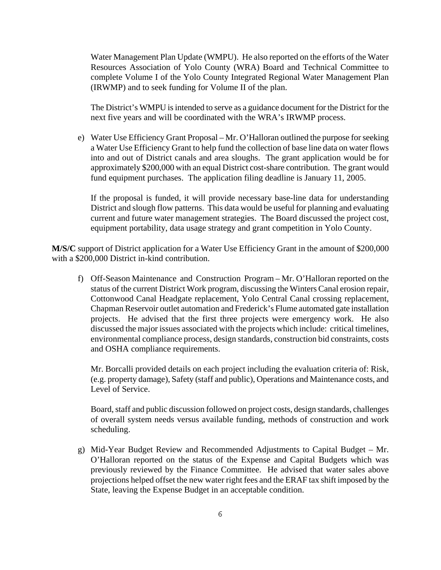Water Management Plan Update (WMPU). He also reported on the efforts of the Water Resources Association of Yolo County (WRA) Board and Technical Committee to complete Volume I of the Yolo County Integrated Regional Water Management Plan (IRWMP) and to seek funding for Volume II of the plan.

The District's WMPU is intended to serve as a guidance document for the District for the next five years and will be coordinated with the WRA's IRWMP process.

e) Water Use Efficiency Grant Proposal – Mr. O'Halloran outlined the purpose for seeking a Water Use Efficiency Grant to help fund the collection of base line data on water flows into and out of District canals and area sloughs. The grant application would be for approximately \$200,000 with an equal District cost-share contribution. The grant would fund equipment purchases. The application filing deadline is January 11, 2005.

If the proposal is funded, it will provide necessary base-line data for understanding District and slough flow patterns. This data would be useful for planning and evaluating current and future water management strategies. The Board discussed the project cost, equipment portability, data usage strategy and grant competition in Yolo County.

**M/S/C** support of District application for a Water Use Efficiency Grant in the amount of \$200,000 with a \$200,000 District in-kind contribution.

f) Off-Season Maintenance and Construction Program – Mr. O'Halloran reported on the status of the current District Work program, discussing the Winters Canal erosion repair, Cottonwood Canal Headgate replacement, Yolo Central Canal crossing replacement, Chapman Reservoir outlet automation and Frederick's Flume automated gate installation projects. He advised that the first three projects were emergency work. He also discussed the major issues associated with the projects which include: critical timelines, environmental compliance process, design standards, construction bid constraints, costs and OSHA compliance requirements.

Mr. Borcalli provided details on each project including the evaluation criteria of: Risk, (e.g. property damage), Safety (staff and public), Operations and Maintenance costs, and Level of Service.

Board, staff and public discussion followed on project costs, design standards, challenges of overall system needs versus available funding, methods of construction and work scheduling.

g) Mid-Year Budget Review and Recommended Adjustments to Capital Budget – Mr. O'Halloran reported on the status of the Expense and Capital Budgets which was previously reviewed by the Finance Committee. He advised that water sales above projections helped offset the new water right fees and the ERAF tax shift imposed by the State, leaving the Expense Budget in an acceptable condition.